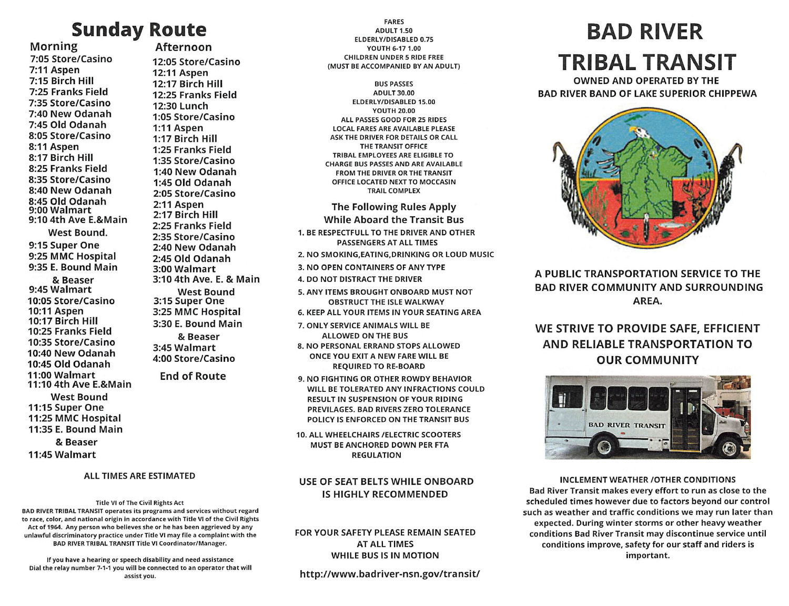# Afternoon

12:05 Store/Casino 12:11 Aspen 12:17 Birch Hill 12:25 Franks Field 12:30 Lunch 1:05 Store/Casino 1:11 Aspen 1:17 Birch Hill 1:25 Franks Field 1:35 Store/Casino 1:40 New Odanah 1:45 Old Odanah 2:05 Store/Casino 2:11 Aspen 2:17 Birch Hill 2:25 Franks Field 2:35 Store/Casino 2:40 New Odanah 2:45 Old Odanah 3:00 Walmart

3:10 4th Ave. E. & Main West Bound 3:15 Super One 3:25 MMC Hospital 3:30 E. Bound Main & Beaser 3:45 Walmart 4:00 Store/Casino

End of Route

## Morning 7:05 Store/Casino 7:11 Aspen 7:15 Birch Hill 7:25 Franks Field 7:35 Store/Casino 7:40 New Odanah 7:45 Old Odanah 8:05 Store/Casino 8:11 Aspen 8:17 Birch Hill 8:25 Franks Field 8:35 Store/Casino 8:40 New Odanah 8:45 Old Odanah 9:00 Walmart 9:10 4th Ave E.&Main West Bound. 9:15 Super One 9:25 MMC Hospital 9:35 E. Bound Main & Beaser 9:45 Walmart 10:05 Store/Casino 10:11 Aspen 10:17 Birch Hill

10:25 Franks Field 10:35 Store/Casino 10:40 New Odanah 10:45 Old Odanah 11:00 Walmart 11:10 4th Ave E.&Main West Bound 11:15 Super One 11:25 MMC Hospital 11:35 E. Bound Main

& Beaser 11:45 Walmart

### Title VI of The Civil Rights Act BAD RIVER TRIBAL TRANSIT operates its programs and services without regard to race, color, and national origin in accordance with Title VI of the Civil Rights Act of 1964. Any person who believes she or he has been aggrieved by any unlawful discriminatory practice under Title VI may file a complaint with the BAD RIVER TRIBAL TRANSIT Title VI Coordinator/Manager.

If you have a hearing or speech disability and need assistance Dial the relay number 7-1-1 you will be connected to an operator that will

FARES ADULT 1.50 ELDERLY/DISABLED 0.75 YOUTH 6-17 1.00 CHILDREN UNDER 5 RIDE FREE (MUST BE ACCOMPANIED BY AN ADULT)

BUS PASSES ADULT 30.00 ELDERLY/DISABLED 15.00 YOUTH 20.00 ALL PASSES GOOD FOR 25 RIDES LOCAL FARES ARE AVAILABLE PLEASE ASK THE DRIVER FOR DETAILS OR CALL THE TRANSIT OFFICE TRIBAL EMPLOYEES ARE ELIGIBLE TO CHARGE BUS PASSES AND ARE AVAILABLE FROM THE DRIVER OR THE TRANSIT OFFICE LOCATED NEXT TO MOCCASIN TRAIL COMPLEX

The Following Rules Apply While Aboard the Transit Bus 1. BE RESPECTFULLTO THE DRIVER AND OTHER PASSENGERS AT ALL TIMES 2. NO SMOKING,EATING,DRINKING OR LOUD MUSIC 3. NO OPEN CONTAINERS OF ANY TYPE 4. DO NOT DISTRACT THE DRIVER 5. ANY ITEMS BROUGHT ONBOARD MUST NOT OBSTRUCT THE ISLE WALKWAY 6. KEEP ALL YOUR ITEMS IN YOUR SEATING AREA 7. ONLY SERVICE ANIMALS WILL BE

ALLOWED ON THE BUS 8. NO PERSONAL ERRAND STOPS ALLOWED ONCE YOU EXIT A NEW FARE WILL BE REQUIRED TO RE-BOARD

9. NO FIGHTING OR OTHER ROWDY BEHAVIOR WILL BE TOLERATED ANY INFRACTIONS COULD RESULT IN SUSPENSION OF YOUR RIDING PREVILAGES. BAD RIVERS ZERO TOLERANCE POLICY IS ENFORCED ON THE TRANSIT BUS

10. ALL WHEELCHAIRS /ELECTRIC SCOOTERS MUST BE ANCHORED DOWN PER FTA REGULATION

## USE OF SEAT BELTS WHILE ONBOARD IS HIGHLY RECOMMENDED

### FOR YOUR SAFETY PLEASE REMAIN SEATED AT ALL TIMES WHILE BUS IS IN MOTION

http://www.badriver-nsn.gov/transit/

## Sunday Route **Example 1999 BAD RIVER** TRIBAL TRANSIT

OWNED AND OPERATED BY THE BAD RIVER BAND OF LAKE SUPERIOR CHIPPEWA



A PUBLIC TRANSPORTATION SERVICE TO THE BAD RIVER COMMUNITY AND SURROUNDING AREA.

## WE STRIVE TO PROVIDE SAFE, EFFICIENT AND RELIABLE TRANSPORTATION TO OUR COMMUNITY



ALL TIMES ARE ESTIMATED **INCLEMENT WEATHER CONDITIONS** Bad River Transit makes every effort to run as close to the scheduled times however due to factors beyond our control such as weather and traffic conditions we may run later than expected. During winter storms or other heavy weather conditions Bad River Transit may discontinue service until conditions improve, safety for our staff and riders is important.